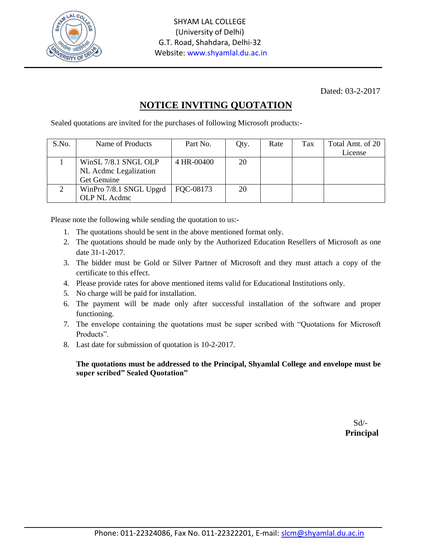

Dated: 03-2-2017

## **NOTICE INVITING QUOTATION**

Sealed quotations are invited for the purchases of following Microsoft products:-

| S.No. | Name of Products        | Part No.          | Qty. | Rate | Tax | Total Amt. of 20<br>License |
|-------|-------------------------|-------------------|------|------|-----|-----------------------------|
|       |                         |                   |      |      |     |                             |
|       | WinSL 7/8.1 SNGL OLP    | 4 HR-00400        | 20   |      |     |                             |
|       | NL Acdmc Legalization   |                   |      |      |     |                             |
|       | Get Genuine             |                   |      |      |     |                             |
|       | WinPro 7/8.1 SNGL Upgrd | $\vert$ FQC-08173 | 20   |      |     |                             |
|       | OLP NL Acdmc            |                   |      |      |     |                             |

Please note the following while sending the quotation to us:-

- 1. The quotations should be sent in the above mentioned format only.
- 2. The quotations should be made only by the Authorized Education Resellers of Microsoft as one date 31-1-2017.
- 3. The bidder must be Gold or Silver Partner of Microsoft and they must attach a copy of the certificate to this effect.
- 4. Please provide rates for above mentioned items valid for Educational Institutions only.
- 5. No charge will be paid for installation.
- 6. The payment will be made only after successful installation of the software and proper functioning.
- 7. The envelope containing the quotations must be super scribed with "Quotations for Microsoft Products".
- 8. Last date for submission of quotation is 10-2-2017.

## **The quotations must be addressed to the Principal, Shyamlal College and envelope must be super scribed" Sealed Quotation"**

 Sd/-  **Principal**